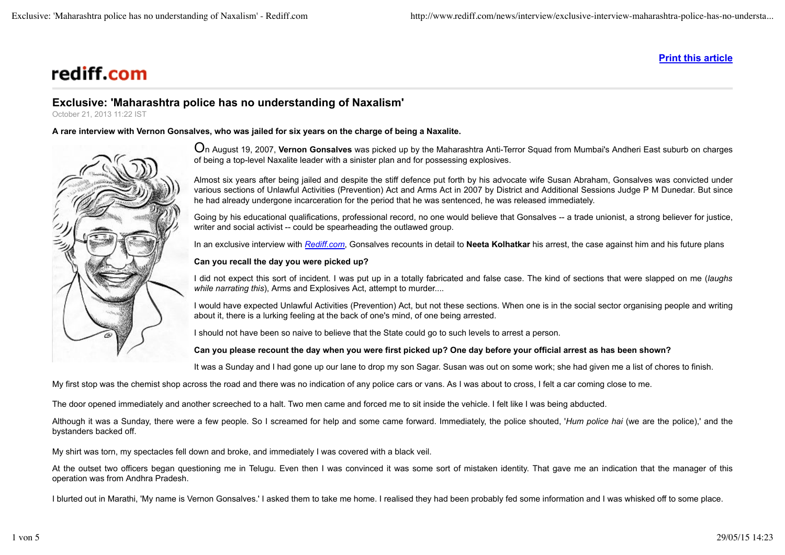# rediff.com

**Print this article**

# **Exclusive: 'Maharashtra police has no understanding of Naxalism'**

October 21, 2013 11:22 IST

**A rare interview with Vernon Gonsalves, who was jailed for six years on the charge of being a Naxalite.**



On August 19, 2007, **Vernon Gonsalves** was picked up by the Maharashtra Anti-Terror Squad from Mumbai's Andheri East suburb on charges of being a top-level Naxalite leader with a sinister plan and for possessing explosives.

Almost six years after being jailed and despite the stiff defence put forth by his advocate wife Susan Abraham, Gonsalves was convicted under various sections of Unlawful Activities (Prevention) Act and Arms Act in 2007 by District and Additional Sessions Judge P M Dunedar. But since he had already undergone incarceration for the period that he was sentenced, he was released immediately.

Going by his educational qualifications, professional record, no one would believe that Gonsalves -- a trade unionist, a strong believer for justice, writer and social activist -- could be spearheading the outlawed group.

In an exclusive interview with *Rediff.com*, Gonsalves recounts in detail to **Neeta Kolhatkar** his arrest, the case against him and his future plans

#### **Can you recall the day you were picked up?**

I did not expect this sort of incident. I was put up in a totally fabricated and false case. The kind of sections that were slapped on me (*laughs while narrating this*), Arms and Explosives Act, attempt to murder....

I would have expected Unlawful Activities (Prevention) Act, but not these sections. When one is in the social sector organising people and writing about it, there is a lurking feeling at the back of one's mind, of one being arrested.

I should not have been so naive to believe that the State could go to such levels to arrest a person.

# **Can you please recount the day when you were first picked up? One day before your official arrest as has been shown?**

It was a Sunday and I had gone up our lane to drop my son Sagar. Susan was out on some work; she had given me a list of chores to finish.

My first stop was the chemist shop across the road and there was no indication of any police cars or vans. As I was about to cross, I felt a car coming close to me.

The door opened immediately and another screeched to a halt. Two men came and forced me to sit inside the vehicle. I felt like I was being abducted.

Although it was a Sunday, there were a few people. So I screamed for help and some came forward. Immediately, the police shouted, '*Hum police hai* (we are the police),' and the bystanders backed off.

My shirt was torn, my spectacles fell down and broke, and immediately I was covered with a black veil.

At the outset two officers began questioning me in Telugu. Even then I was convinced it was some sort of mistaken identity. That gave me an indication that the manager of this operation was from Andhra Pradesh.

I blurted out in Marathi, 'My name is Vernon Gonsalves.' I asked them to take me home. I realised they had been probably fed some information and I was whisked off to some place.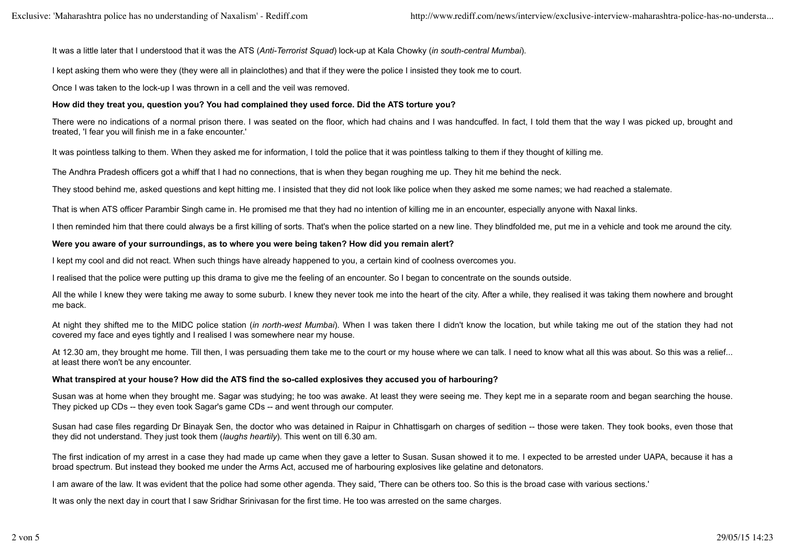It was a little later that I understood that it was the ATS (*Anti-Terrorist Squad*) lock-up at Kala Chowky (*in south-central Mumbai*).

I kept asking them who were they (they were all in plainclothes) and that if they were the police I insisted they took me to court.

Once I was taken to the lock-up I was thrown in a cell and the veil was removed.

#### **How did they treat you, question you? You had complained they used force. Did the ATS torture you?**

There were no indications of a normal prison there. I was seated on the floor, which had chains and I was handcuffed. In fact, I told them that the way I was picked up, brought and treated, 'I fear you will finish me in a fake encounter.'

It was pointless talking to them. When they asked me for information, I told the police that it was pointless talking to them if they thought of killing me.

The Andhra Pradesh officers got a whiff that I had no connections, that is when they began roughing me up. They hit me behind the neck.

They stood behind me, asked questions and kept hitting me. I insisted that they did not look like police when they asked me some names; we had reached a stalemate.

That is when ATS officer Parambir Singh came in. He promised me that they had no intention of killing me in an encounter, especially anyone with Naxal links.

I then reminded him that there could always be a first killing of sorts. That's when the police started on a new line. They blindfolded me, put me in a vehicle and took me around the city.

#### **Were you aware of your surroundings, as to where you were being taken? How did you remain alert?**

I kept my cool and did not react. When such things have already happened to you, a certain kind of coolness overcomes you.

I realised that the police were putting up this drama to give me the feeling of an encounter. So I began to concentrate on the sounds outside.

All the while I knew they were taking me away to some suburb. I knew they never took me into the heart of the city. After a while, they realised it was taking them nowhere and brought me back.

At night they shifted me to the MIDC police station (*in north-west Mumbai*). When I was taken there I didn't know the location, but while taking me out of the station they had not covered my face and eyes tightly and I realised I was somewhere near my house.

At 12.30 am, they brought me home. Till then, I was persuading them take me to the court or my house where we can talk. I need to know what all this was about. So this was a relief... at least there won't be any encounter.

# **What transpired at your house? How did the ATS find the so-called explosives they accused you of harbouring?**

Susan was at home when they brought me. Sagar was studying; he too was awake. At least they were seeing me. They kept me in a separate room and began searching the house. They picked up CDs -- they even took Sagar's game CDs -- and went through our computer.

Susan had case files regarding Dr Binayak Sen, the doctor who was detained in Raipur in Chhattisgarh on charges of sedition -- those were taken. They took books, even those that they did not understand. They just took them (*laughs heartily*). This went on till 6.30 am.

The first indication of my arrest in a case they had made up came when they gave a letter to Susan. Susan showed it to me. I expected to be arrested under UAPA, because it has a broad spectrum. But instead they booked me under the Arms Act, accused me of harbouring explosives like gelatine and detonators.

I am aware of the law. It was evident that the police had some other agenda. They said, 'There can be others too. So this is the broad case with various sections.'

It was only the next day in court that I saw Sridhar Srinivasan for the first time. He too was arrested on the same charges.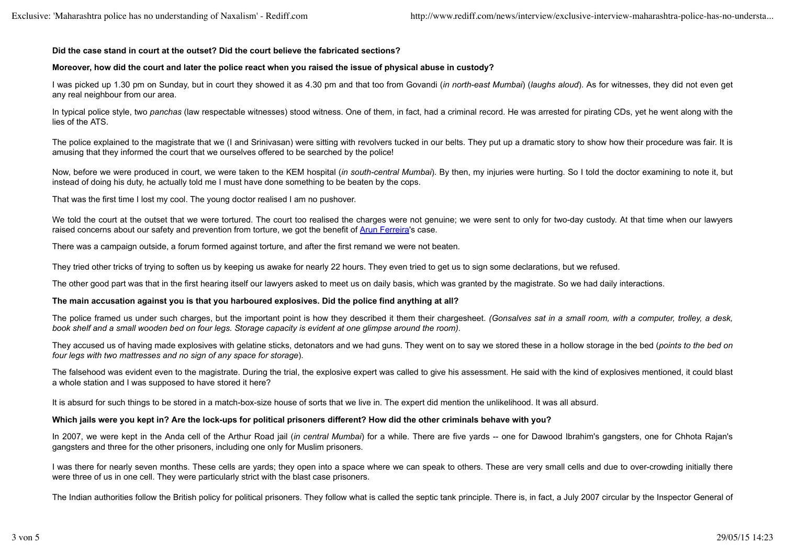#### **Did the case stand in court at the outset? Did the court believe the fabricated sections?**

#### **Moreover, how did the court and later the police react when you raised the issue of physical abuse in custody?**

I was picked up 1.30 pm on Sunday, but in court they showed it as 4.30 pm and that too from Govandi (*in north-east Mumbai*) (*laughs aloud*). As for witnesses, they did not even get any real neighbour from our area.

In typical police style, two *panchas* (law respectable witnesses) stood witness. One of them, in fact, had a criminal record. He was arrested for pirating CDs, yet he went along with the lies of the ATS.

The police explained to the magistrate that we (I and Srinivasan) were sitting with revolvers tucked in our belts. They put up a dramatic story to show how their procedure was fair. It is amusing that they informed the court that we ourselves offered to be searched by the police!

Now, before we were produced in court, we were taken to the KEM hospital (*in south-central Mumbai*). By then, my injuries were hurting. So I told the doctor examining to note it, but instead of doing his duty, he actually told me I must have done something to be beaten by the cops.

That was the first time I lost my cool. The young doctor realised I am no pushover.

We told the court at the outset that we were tortured. The court too realised the charges were not genuine; we were sent to only for two-day custody. At that time when our lawyers raised concerns about our safety and prevention from torture, we got the benefit of Arun Ferreira's case.

There was a campaign outside, a forum formed against torture, and after the first remand we were not beaten.

They tried other tricks of trying to soften us by keeping us awake for nearly 22 hours. They even tried to get us to sign some declarations, but we refused.

The other good part was that in the first hearing itself our lawyers asked to meet us on daily basis, which was granted by the magistrate. So we had daily interactions.

# **The main accusation against you is that you harboured explosives. Did the police find anything at all?**

The police framed us under such charges, but the important point is how they described it them their chargesheet. *(Gonsalves sat in a small room, with a computer, trolley, a desk, book shelf and a small wooden bed on four legs. Storage capacity is evident at one glimpse around the room)*.

They accused us of having made explosives with gelatine sticks, detonators and we had guns. They went on to say we stored these in a hollow storage in the bed (*points to the bed on four legs with two mattresses and no sign of any space for storage*).

The falsehood was evident even to the magistrate. During the trial, the explosive expert was called to give his assessment. He said with the kind of explosives mentioned, it could blast a whole station and I was supposed to have stored it here?

It is absurd for such things to be stored in a match-box-size house of sorts that we live in. The expert did mention the unlikelihood. It was all absurd.

# **Which jails were you kept in? Are the lock-ups for political prisoners different? How did the other criminals behave with you?**

In 2007, we were kept in the Anda cell of the Arthur Road jail (*in central Mumbai*) for a while. There are five yards -- one for Dawood Ibrahim's gangsters, one for Chhota Rajan's gangsters and three for the other prisoners, including one only for Muslim prisoners.

I was there for nearly seven months. These cells are vards; they open into a space where we can speak to others. These are very small cells and due to over-crowding initially there were three of us in one cell. They were particularly strict with the blast case prisoners.

The Indian authorities follow the British policy for political prisoners. They follow what is called the septic tank principle. There is, in fact, a July 2007 circular by the Inspector General of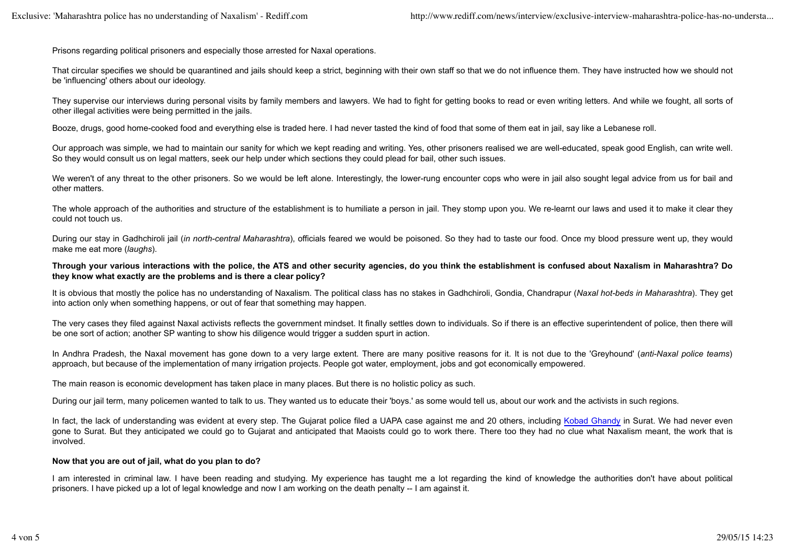Prisons regarding political prisoners and especially those arrested for Naxal operations.

That circular specifies we should be quarantined and iails should keep a strict, beginning with their own staff so that we do not influence them. They have instructed how we should not be 'influencing' others about our ideology.

They supervise our interviews during personal visits by family members and lawyers. We had to fight for getting books to read or even writing letters. And while we fought, all sorts of other illegal activities were being permitted in the jails.

Booze, drugs, good home-cooked food and everything else is traded here. I had never tasted the kind of food that some of them eat in jail, say like a Lebanese roll.

Our approach was simple, we had to maintain our sanity for which we kept reading and writing. Yes, other prisoners realised we are well-educated, speak good English, can write well. So they would consult us on legal matters, seek our help under which sections they could plead for bail, other such issues.

We weren't of any threat to the other prisoners. So we would be left alone. Interestingly, the lower-rung encounter cops who were in jail also sought legal advice from us for bail and other matters.

The whole approach of the authorities and structure of the establishment is to humiliate a person in jail. They stomp upon you. We re-learnt our laws and used it to make it clear they could not touch us.

During our stay in Gadhchiroli jail (*in north-central Maharashtra*), officials feared we would be poisoned. So they had to taste our food. Once my blood pressure went up, they would make me eat more (*laughs*).

#### **Through your various interactions with the police, the ATS and other security agencies, do you think the establishment is confused about Naxalism in Maharashtra? Do they know what exactly are the problems and is there a clear policy?**

It is obvious that mostly the police has no understanding of Naxalism. The political class has no stakes in Gadhchiroli, Gondia, Chandrapur (*Naxal hot-beds in Maharashtra*). They get into action only when something happens, or out of fear that something may happen.

The very cases they filed against Naxal activists reflects the government mindset. It finally settles down to individuals. So if there is an effective superintendent of police, then there will be one sort of action; another SP wanting to show his diligence would trigger a sudden spurt in action.

In Andhra Pradesh, the Naxal movement has gone down to a very large extent. There are many positive reasons for it. It is not due to the 'Greyhound' (*anti-Naxal police teams*) approach, but because of the implementation of many irrigation projects. People got water, employment, jobs and got economically empowered.

The main reason is economic development has taken place in many places. But there is no holistic policy as such.

During our jail term, many policemen wanted to talk to us. They wanted us to educate their 'boys.' as some would tell us, about our work and the activists in such regions.

In fact, the lack of understanding was evident at every step. The Gujarat police filed a UAPA case against me and 20 others, including Kobad Ghandy in Surat. We had never even gone to Surat. But they anticipated we could go to Gujarat and anticipated that Maoists could go to work there. There too they had no clue what Naxalism meant, the work that is involved.

# **Now that you are out of jail, what do you plan to do?**

I am interested in criminal law. I have been reading and studying. My experience has taught me a lot regarding the kind of knowledge the authorities don't have about political prisoners. I have picked up a lot of legal knowledge and now I am working on the death penalty -- I am against it.